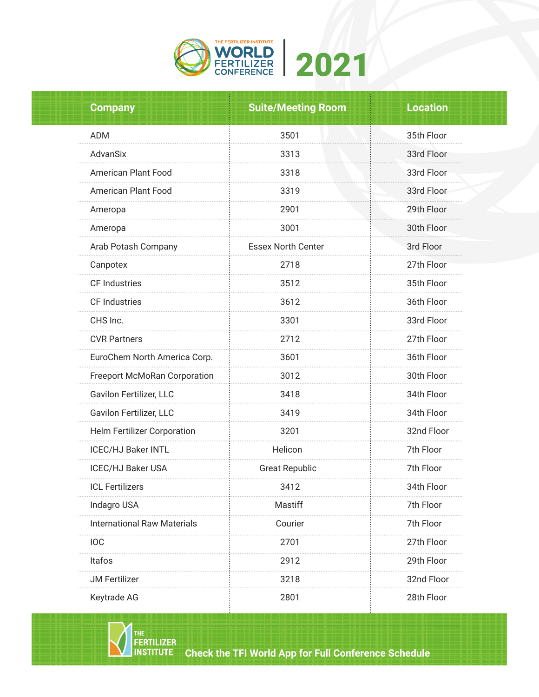

| <b>Company</b>                     | <b>Suite/Meeting Room</b> | <b>Location</b> |  |
|------------------------------------|---------------------------|-----------------|--|
| <b>ADM</b>                         | 3501                      | 35th Floor      |  |
| AdvanSix                           | 3313                      | 33rd Floor      |  |
| American Plant Food                | 3318                      | 33rd Floor      |  |
| <b>American Plant Food</b>         | 3319                      | 33rd Floor      |  |
| Ameropa                            | 2901                      | 29th Floor      |  |
| Ameropa                            | 3001                      | 30th Floor      |  |
| Arab Potash Company                | <b>Essex North Center</b> | 3rd Floor       |  |
| Canpotex                           | 2718                      | 27th Floor      |  |
| CF Industries                      | 3512                      | 35th Floor      |  |
| CF Industries                      | 3612                      | 36th Floor      |  |
| CHS Inc.                           | 3301                      | 33rd Floor      |  |
| <b>CVR Partners</b>                | 2712                      | 27th Floor      |  |
| EuroChem North America Corp.       | 3601                      | 36th Floor      |  |
| Freeport McMoRan Corporation       | 3012                      | 30th Floor      |  |
| Gavilon Fertilizer, LLC            | 3418                      | 34th Floor      |  |
| Gavilon Fertilizer, LLC            | 3419                      | 34th Floor      |  |
| Helm Fertilizer Corporation        | 3201                      | 32nd Floor      |  |
| <b>ICEC/HJ Baker INTL</b>          | Helicon                   | 7th Floor       |  |
| <b>ICEC/HJ Baker USA</b>           | <b>Great Republic</b>     | 7th Floor       |  |
| <b>ICL Fertilizers</b>             | 3412                      | 34th Floor      |  |
| Indagro USA                        | Mastiff                   | 7th Floor       |  |
| <b>International Raw Materials</b> | Courier                   | 7th Floor       |  |
| <b>IOC</b>                         | 2701                      | 27th Floor      |  |
| Itafos                             | 2912                      | 29th Floor      |  |
| <b>JM Fertilizer</b>               | 3218                      | 32nd Floor      |  |
| Keytrade AG                        | 2801                      | 28th Floor      |  |